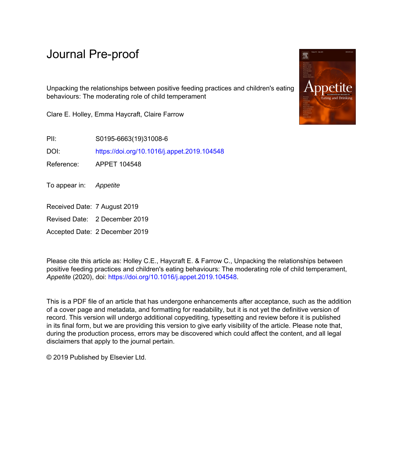# Journal Pre-proof

Unpacking the relationships between positive feeding practices and children's eating behaviours: The moderating role of child temperament

Clare E. Holley, Emma Haycraft, Claire Farrow

PII: S0195-6663(19)31008-6

DOI: <https://doi.org/10.1016/j.appet.2019.104548>

Reference: APPET 104548

To appear in: Appetite

Received Date: 7 August 2019

Revised Date: 2 December 2019

Accepted Date: 2 December 2019

Please cite this article as: Holley C.E., Haycraft E. & Farrow C., Unpacking the relationships between positive feeding practices and children's eating behaviours: The moderating role of child temperament, *Appetite* (2020), doi: <https://doi.org/10.1016/j.appet.2019.104548>.

This is a PDF file of an article that has undergone enhancements after acceptance, such as the addition of a cover page and metadata, and formatting for readability, but it is not yet the definitive version of record. This version will undergo additional copyediting, typesetting and review before it is published in its final form, but we are providing this version to give early visibility of the article. Please note that, during the production process, errors may be discovered which could affect the content, and all legal disclaimers that apply to the journal pertain.

© 2019 Published by Elsevier Ltd.

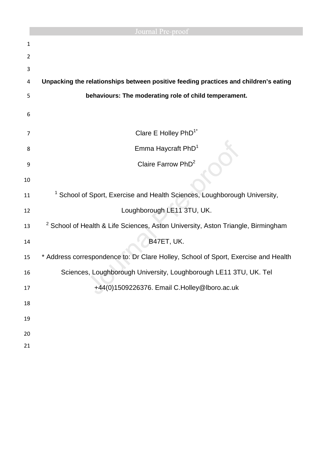|                | Journal Pre-proof                                                                           |
|----------------|---------------------------------------------------------------------------------------------|
| 1              |                                                                                             |
| $\overline{2}$ |                                                                                             |
| 3              |                                                                                             |
| 4              | Unpacking the relationships between positive feeding practices and children's eating        |
| 5              | behaviours: The moderating role of child temperament.                                       |
| 6              |                                                                                             |
| 7              | Clare E Holley PhD <sup>1*</sup>                                                            |
| 8              | Emma Haycraft PhD <sup>1</sup>                                                              |
| 9              | Claire Farrow PhD <sup>2</sup>                                                              |
| 10             |                                                                                             |
| 11             | School of Sport, Exercise and Health Sciences, Loughborough University,                     |
| 12             | Loughborough LE11 3TU, UK.                                                                  |
| 13             | <sup>2</sup> School of Health & Life Sciences, Aston University, Aston Triangle, Birmingham |
| 14             | B47ET, UK.                                                                                  |
| 15             | * Address correspondence to: Dr Clare Holley, School of Sport, Exercise and Health          |
| 16             | Sciences, Loughborough University, Loughborough LE11 3TU, UK. Tel                           |
| 17             | +44(0)1509226376. Email C.Holley@lboro.ac.uk                                                |
| 18             |                                                                                             |
| 19             |                                                                                             |
| 20             |                                                                                             |
| 21             |                                                                                             |
|                |                                                                                             |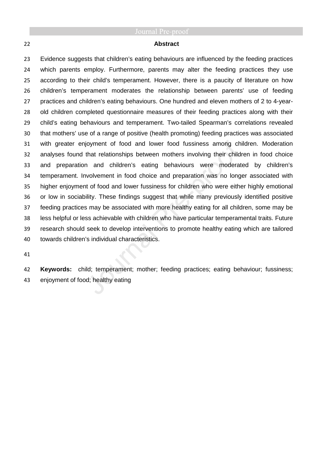### **Abstract**

Evidence suggests that children's eating behaviours are influenced by the feeding practices which parents employ. Furthermore, parents may alter the feeding practices they use according to their child's temperament. However, there is a paucity of literature on how children's temperament moderates the relationship between parents' use of feeding practices and children's eating behaviours. One hundred and eleven mothers of 2 to 4-year-old children completed questionnaire measures of their feeding practices along with their child's eating behaviours and temperament. Two-tailed Spearman's correlations revealed that mothers' use of a range of positive (health promoting) feeding practices was associated with greater enjoyment of food and lower food fussiness among children. Moderation analyses found that relationships between mothers involving their children in food choice and preparation and children's eating behaviours were moderated by children's temperament. Involvement in food choice and preparation was no longer associated with higher enjoyment of food and lower fussiness for children who were either highly emotional or low in sociability. These findings suggest that while many previously identified positive feeding practices may be associated with more healthy eating for all children, some may be less helpful or less achievable with children who have particular temperamental traits. Future research should seek to develop interventions to promote healthy eating which are tailored towards children's individual characteristics.

**Keywords:** child; temperament; mother; feeding practices; eating behaviour; fussiness; enjoyment of food; healthy eating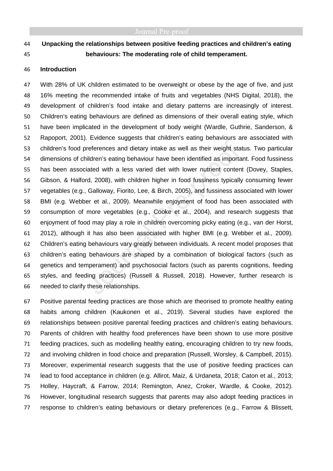## **Unpacking the relationships between positive feeding practices and children's eating behaviours: The moderating role of child temperament.**

### **Introduction**

With 28% of UK children estimated to be overweight or obese by the age of five, and just 16% meeting the recommended intake of fruits and vegetables (NHS Digital, 2018), the development of children's food intake and dietary patterns are increasingly of interest. Children's eating behaviours are defined as dimensions of their overall eating style, which have been implicated in the development of body weight (Wardle, Guthrie, Sanderson, & Rapoport, 2001). Evidence suggests that children's eating behaviours are associated with children's food preferences and dietary intake as well as their weight status. Two particular dimensions of children's eating behaviour have been identified as important. Food fussiness has been associated with a less varied diet with lower nutrient content (Dovey, Staples, Gibson, & Halford, 2008), with children higher in food fussiness typically consuming fewer vegetables (e.g., Galloway, Fiorito, Lee, & Birch, 2005), and fussiness associated with lower BMI (e.g. Webber et al., 2009). Meanwhile enjoyment of food has been associated with consumption of more vegetables (e.g., Cooke et al., 2004), and research suggests that enjoyment of food may play a role in children overcoming picky eating (e.g., van der Horst, 2012), although it has also been associated with higher BMI (e.g. Webber et al., 2009). Children's eating behaviours vary greatly between individuals. A recent model proposes that children's eating behaviours are shaped by a combination of biological factors (such as genetics and temperament) and psychosocial factors (such as parents cognitions, feeding styles, and feeding practices) (Russell & Russell, 2018). However, further research is needed to clarify these relationships.

Positive parental feeding practices are those which are theorised to promote healthy eating habits among children (Kaukonen et al., 2019). Several studies have explored the relationships between positive parental feeding practices and children's eating behaviours. Parents of children with healthy food preferences have been shown to use more positive feeding practices, such as modelling healthy eating, encouraging children to try new foods, and involving children in food choice and preparation (Russell, Worsley, & Campbell, 2015). Moreover, experimental research suggests that the use of positive feeding practices can lead to food acceptance in children (e.g. Allirot, Maiz, & Urdaneta, 2018; Caton et al., 2013; Holley, Haycraft, & Farrow, 2014; Remington, Anez, Croker, Wardle, & Cooke, 2012). However, longitudinal research suggests that parents may also adopt feeding practices in response to children's eating behaviours or dietary preferences (e.g., Farrow & Blissett,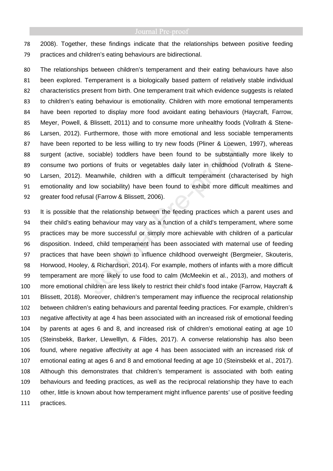2008). Together, these findings indicate that the relationships between positive feeding practices and children's eating behaviours are bidirectional.

The relationships between children's temperament and their eating behaviours have also been explored. Temperament is a biologically based pattern of relatively stable individual characteristics present from birth. One temperament trait which evidence suggests is related to children's eating behaviour is emotionality. Children with more emotional temperaments have been reported to display more food avoidant eating behaviours (Haycraft, Farrow, Meyer, Powell, & Blissett, 2011) and to consume more unhealthy foods (Vollrath & Stene-Larsen, 2012). Furthermore, those with more emotional and less sociable temperaments have been reported to be less willing to try new foods (Pliner & Loewen, 1997), whereas surgent (active, sociable) toddlers have been found to be substantially more likely to consume two portions of fruits or vegetables daily later in childhood (Vollrath & Stene-Larsen, 2012). Meanwhile, children with a difficult temperament (characterised by high emotionality and low sociability) have been found to exhibit more difficult mealtimes and greater food refusal (Farrow & Blissett, 2006).

It is possible that the relationship between the feeding practices which a parent uses and their child's eating behaviour may vary as a function of a child's temperament, where some practices may be more successful or simply more achievable with children of a particular disposition. Indeed, child temperament has been associated with maternal use of feeding practices that have been shown to influence childhood overweight (Bergmeier, Skouteris, Horwood, Hooley, & Richardson, 2014). For example, mothers of infants with a more difficult temperament are more likely to use food to calm (McMeekin et al., 2013), and mothers of more emotional children are less likely to restrict their child's food intake (Farrow, Haycraft & Blissett, 2018). Moreover, children's temperament may influence the reciprocal relationship between children's eating behaviours and parental feeding practices. For example, children's negative affectivity at age 4 has been associated with an increased risk of emotional feeding by parents at ages 6 and 8, and increased risk of children's emotional eating at age 10 (Steinsbekk, Barker, Llewelllyn, & Fildes, 2017). A converse relationship has also been found, where negative affectivity at age 4 has been associated with an increased risk of emotional eating at ages 6 and 8 and emotional feeding at age 10 (Steinsbekk et al., 2017). Although this demonstrates that children's temperament is associated with both eating behaviours and feeding practices, as well as the reciprocal relationship they have to each other, little is known about how temperament might influence parents' use of positive feeding practices.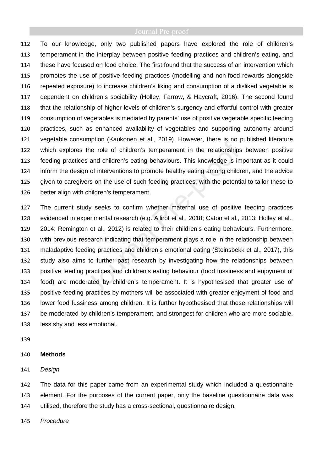To our knowledge, only two published papers have explored the role of children's temperament in the interplay between positive feeding practices and children's eating, and these have focused on food choice. The first found that the success of an intervention which promotes the use of positive feeding practices (modelling and non-food rewards alongside repeated exposure) to increase children's liking and consumption of a disliked vegetable is dependent on children's sociability (Holley, Farrow, & Haycraft, 2016). The second found that the relationship of higher levels of children's surgency and effortful control with greater consumption of vegetables is mediated by parents' use of positive vegetable specific feeding practices, such as enhanced availability of vegetables and supporting autonomy around vegetable consumption (Kaukonen et al., 2019). However, there is no published literature which explores the role of children's temperament in the relationships between positive feeding practices and children's eating behaviours. This knowledge is important as it could inform the design of interventions to promote healthy eating among children, and the advice given to caregivers on the use of such feeding practices, with the potential to tailor these to better align with children's temperament.

The current study seeks to confirm whether maternal use of positive feeding practices evidenced in experimental research (e.g. Allirot et al., 2018; Caton et al., 2013; Holley et al., 2014; Remington et al., 2012) is related to their children's eating behaviours. Furthermore, with previous research indicating that temperament plays a role in the relationship between maladaptive feeding practices and children's emotional eating (Steinsbekk et al., 2017), this study also aims to further past research by investigating how the relationships between positive feeding practices and children's eating behaviour (food fussiness and enjoyment of food) are moderated by children's temperament. It is hypothesised that greater use of positive feeding practices by mothers will be associated with greater enjoyment of food and lower food fussiness among children. It is further hypothesised that these relationships will be moderated by children's temperament, and strongest for children who are more sociable, less shy and less emotional.

### **Methods**

Design

The data for this paper came from an experimental study which included a questionnaire element. For the purposes of the current paper, only the baseline questionnaire data was utilised, therefore the study has a cross-sectional, questionnaire design.

Procedure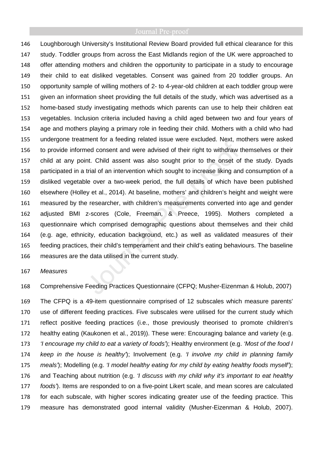Loughborough University's Institutional Review Board provided full ethical clearance for this study. Toddler groups from across the East Midlands region of the UK were approached to offer attending mothers and children the opportunity to participate in a study to encourage their child to eat disliked vegetables. Consent was gained from 20 toddler groups. An opportunity sample of willing mothers of 2- to 4-year-old children at each toddler group were given an information sheet providing the full details of the study, which was advertised as a home-based study investigating methods which parents can use to help their children eat vegetables. Inclusion criteria included having a child aged between two and four years of age and mothers playing a primary role in feeding their child. Mothers with a child who had undergone treatment for a feeding related issue were excluded. Next, mothers were asked to provide informed consent and were advised of their right to withdraw themselves or their child at any point. Child assent was also sought prior to the onset of the study. Dyads participated in a trial of an intervention which sought to increase liking and consumption of a disliked vegetable over a two-week period, the full details of which have been published elsewhere (Holley et al., 2014). At baseline, mothers' and children's height and weight were measured by the researcher, with children's measurements converted into age and gender adjusted BMI z-scores (Cole, Freeman, & Preece, 1995). Mothers completed a questionnaire which comprised demographic questions about themselves and their child (e.g. age, ethnicity, education background, etc.) as well as validated measures of their feeding practices, their child's temperament and their child's eating behaviours. The baseline measures are the data utilised in the current study.

### Measures

Comprehensive Feeding Practices Questionnaire (CFPQ; Musher-Eizenman & Holub, 2007)

The CFPQ is a 49-item questionnaire comprised of 12 subscales which measure parents' use of different feeding practices. Five subscales were utilised for the current study which reflect positive feeding practices (i.e., those previously theorised to promote children's healthy eating (Kaukonen et al., 2019)). These were: Encouraging balance and variety (e.g. 173 'I encourage my child to eat a variety of foods'); Healthy environment (e.g. 'Most of the food I 174 keep in the house is healthy'); Involvement (e.g. '*I* involve my child in planning family 175 meals'); Modelling (e.g. 'I model healthy eating for my child by eating healthy foods myself'); 176 and Teaching about nutrition (e.g. 'I discuss with my child why it's important to eat healthy foods'). Items are responded to on a five-point Likert scale, and mean scores are calculated for each subscale, with higher scores indicating greater use of the feeding practice. This measure has demonstrated good internal validity (Musher-Eizenman & Holub, 2007).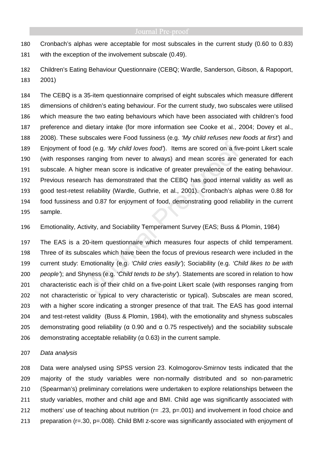Cronbach's alphas were acceptable for most subscales in the current study (0.60 to 0.83) with the exception of the involvement subscale (0.49).

Children's Eating Behaviour Questionnaire (CEBQ; Wardle, Sanderson, Gibson, & Rapoport, 2001)

The CEBQ is a 35-item questionnaire comprised of eight subscales which measure different dimensions of children's eating behaviour. For the current study, two subscales were utilised which measure the two eating behaviours which have been associated with children's food preference and dietary intake (for more information see Cooke et al., 2004; Dovey et al., 188 2008). These subscales were Food fussiness (e.g. 'My child refuses new foods at first') and Enjoyment of food (e.g. 'My child loves food'). Items are scored on a five-point Likert scale (with responses ranging from never to always) and mean scores are generated for each subscale. A higher mean score is indicative of greater prevalence of the eating behaviour. Previous research has demonstrated that the CEBQ has good internal validity as well as good test-retest reliability (Wardle, Guthrie, et al., 2001). Cronbach's alphas were 0.88 for food fussiness and 0.87 for enjoyment of food, demonstrating good reliability in the current sample.

Emotionality, Activity, and Sociability Temperament Survey (EAS; Buss & Plomin, 1984)

The EAS is a 20-item questionnaire which measures four aspects of child temperament. Three of its subscales which have been the focus of previous research were included in the current study: Emotionality (e.g. 'Child cries easily'); Sociability (e.g. 'Child likes to be with 200 people'); and Shyness (e.g. 'Child tends to be shy'). Statements are scored in relation to how characteristic each is of their child on a five-point Likert scale (with responses ranging from not characteristic or typical to very characteristic or typical). Subscales are mean scored, with a higher score indicating a stronger presence of that trait. The EAS has good internal and test-retest validity (Buss & Plomin, 1984), with the emotionality and shyness subscales demonstrating good reliability (α 0.90 and α 0.75 respectively) and the sociability subscale 206 demonstrating acceptable reliability ( $\alpha$  0.63) in the current sample.

### Data analysis

Data were analysed using SPSS version 23. Kolmogorov-Smirnov tests indicated that the majority of the study variables were non-normally distributed and so non-parametric (Spearman's) preliminary correlations were undertaken to explore relationships between the study variables, mother and child age and BMI. Child age was significantly associated with 212 mothers' use of teaching about nutrition ( $r = .23$ ,  $p = .001$ ) and involvement in food choice and preparation (r=.30, p=.008). Child BMI z-score was significantly associated with enjoyment of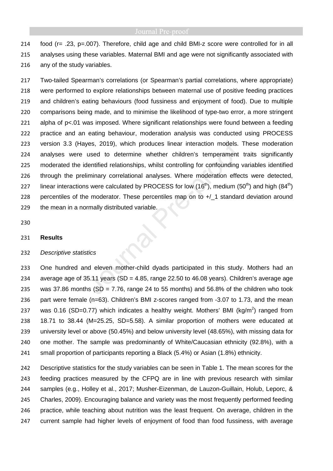food (r= .23, p=.007). Therefore, child age and child BMI-z score were controlled for in all analyses using these variables. Maternal BMI and age were not significantly associated with any of the study variables.

Two-tailed Spearman's correlations (or Spearman's partial correlations, where appropriate) were performed to explore relationships between maternal use of positive feeding practices and children's eating behaviours (food fussiness and enjoyment of food). Due to multiple comparisons being made, and to minimise the likelihood of type-two error, a more stringent alpha of p<.01 was imposed. Where significant relationships were found between a feeding practice and an eating behaviour, moderation analysis was conducted using PROCESS version 3.3 (Hayes, 2019), which produces linear interaction models. These moderation analyses were used to determine whether children's temperament traits significantly moderated the identified relationships, whilst controlling for confounding variables identified through the preliminary correlational analyses. Where moderation effects were detected, 227 linear interactions were calculated by PROCESS for low (16<sup>th</sup>), medium (50<sup>th</sup>) and high (84<sup>th</sup>) 228 percentiles of the moderator. These percentiles map on to +/\_1 standard deviation around the mean in a normally distributed variable.

### **Results**

### Descriptive statistics

One hundred and eleven mother-child dyads participated in this study. Mothers had an 234 average age of  $35.11$  years (SD = 4.85, range 22.50 to 46.08 years). Children's average age 235 was 37.86 months  $(SD = 7.76$ , range 24 to 55 months) and 56.8% of the children who took part were female (n=63). Children's BMI z-scores ranged from -3.07 to 1.73, and the mean 237 was 0.16 (SD=0.77) which indicates a healthy weight. Mothers' BMI ( $\text{kg/m}^2$ ) ranged from 18.71 to 38.44 (M=25.25, SD=5.58). A similar proportion of mothers were educated at university level or above (50.45%) and below university level (48.65%), with missing data for one mother. The sample was predominantly of White/Caucasian ethnicity (92.8%), with a small proportion of participants reporting a Black (5.4%) or Asian (1.8%) ethnicity.

242 Descriptive statistics for the study variables can be seen in Table 1. The mean scores for the feeding practices measured by the CFPQ are in line with previous research with similar samples (e.g., Holley et al., 2017; Musher-Eizenman, de Lauzon-Guillain, Holub, Leporc, & Charles, 2009). Encouraging balance and variety was the most frequently performed feeding practice, while teaching about nutrition was the least frequent. On average, children in the current sample had higher levels of enjoyment of food than food fussiness, with average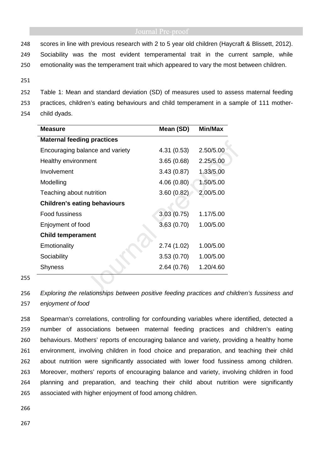248 scores in line with previous research with 2 to 5 year old children (Haycraft & Blissett, 2012). 249 Sociability was the most evident temperamental trait in the current sample, while 250 emotionality was the temperament trait which appeared to vary the most between children.

251

252 Table 1: Mean and standard deviation (SD) of measures used to assess maternal feeding 253 practices, children's eating behaviours and child temperament in a sample of 111 mother-

254 child dyads.

| Measure                             | Mean (SD)  | Min/Max   |  |  |  |  |  |
|-------------------------------------|------------|-----------|--|--|--|--|--|
| <b>Maternal feeding practices</b>   |            |           |  |  |  |  |  |
| Encouraging balance and variety     | 4.31(0.53) | 2.50/5.00 |  |  |  |  |  |
| Healthy environment                 | 3.65(0.68) | 2.25/5.00 |  |  |  |  |  |
| Involvement                         | 3.43(0.87) | 1.33/5.00 |  |  |  |  |  |
| Modelling                           | 4.06(0.80) | 1.50/5.00 |  |  |  |  |  |
| Teaching about nutrition            | 3.60(0.82) | 2.00/5.00 |  |  |  |  |  |
| <b>Children's eating behaviours</b> |            |           |  |  |  |  |  |
| Food fussiness                      | 3.03(0.75) | 1.17/5.00 |  |  |  |  |  |
| Enjoyment of food                   | 3.63(0.70) | 1.00/5.00 |  |  |  |  |  |
| <b>Child temperament</b>            |            |           |  |  |  |  |  |
| Emotionality                        | 2.74(1.02) | 1.00/5.00 |  |  |  |  |  |
| Sociability                         | 3.53(0.70) | 1.00/5.00 |  |  |  |  |  |
| <b>Shyness</b>                      | 2.64(0.76) | 1.20/4.60 |  |  |  |  |  |

255

256 Exploring the relationships between positive feeding practices and children's fussiness and 257 enjoyment of food

Spearman's correlations, controlling for confounding variables where identified, detected a number of associations between maternal feeding practices and children's eating behaviours. Mothers' reports of encouraging balance and variety, providing a healthy home environment, involving children in food choice and preparation, and teaching their child about nutrition were significantly associated with lower food fussiness among children. Moreover, mothers' reports of encouraging balance and variety, involving children in food planning and preparation, and teaching their child about nutrition were significantly associated with higher enjoyment of food among children.

266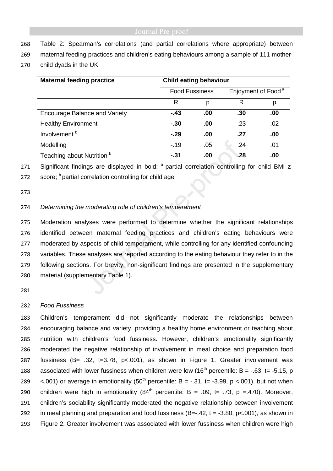- 268 Table 2: Spearman's correlations (and partial correlations where appropriate) between
- 269 maternal feeding practices and children's eating behaviours among a sample of 111 mother-
- 270 child dyads in the UK

| <b>Maternal feeding practice</b>      | <b>Child eating behaviour</b> |     |                                |     |
|---------------------------------------|-------------------------------|-----|--------------------------------|-----|
|                                       | <b>Food Fussiness</b>         |     | Enjoyment of Food <sup>a</sup> |     |
|                                       | R                             | р   | R                              | p   |
| <b>Encourage Balance and Variety</b>  | $-.43$                        | .00 | .30                            | .00 |
| <b>Healthy Environment</b>            | $-.30$                        | .00 | .23                            | .02 |
| Involvement <sup>b</sup>              | $-.29$                        | .00 | .27                            | .00 |
| Modelling                             | $-19$                         | .05 | .24                            | .01 |
| Teaching about Nutrition <sup>b</sup> | $-.31$                        | .00 | .28                            | .00 |

271 Significant findings are displayed in bold;  $^a$  partial correlation controlling for child BMI z-

272 score;  $<sup>b</sup>$  partial correlation controlling for child age</sup>

273

### 274 Determining the moderating role of children's temperament

Moderation analyses were performed to determine whether the significant relationships identified between maternal feeding practices and children's eating behaviours were moderated by aspects of child temperament, while controlling for any identified confounding variables. These analyses are reported according to the eating behaviour they refer to in the following sections. For brevity, non-significant findings are presented in the supplementary material (supplementary Table 1).

281

### 282 Food Fussiness

Children's temperament did not significantly moderate the relationships between encouraging balance and variety, providing a healthy home environment or teaching about nutrition with children's food fussiness. However, children's emotionality significantly moderated the negative relationship of involvement in meal choice and preparation food fussiness (B= .32, t=3.78, p<.001), as shown in Figure 1. Greater involvement was 288 associated with lower fussiness when children were low (16<sup>th</sup> percentile: B = -.63, t= -5.15, p 289 <.001) or average in emotionality  $(50<sup>th</sup>$  percentile: B = -.31, t= -3.99, p <.001), but not when 290 children were high in emotionality  $(84<sup>th</sup>$  percentile: B = .09, t= .73, p =.470). Moreover, children's sociability significantly moderated the negative relationship between involvement 292 in meal planning and preparation and food fussiness  $(B=-.42, t = -3.80, p < .001)$ , as shown in Figure 2. Greater involvement was associated with lower fussiness when children were high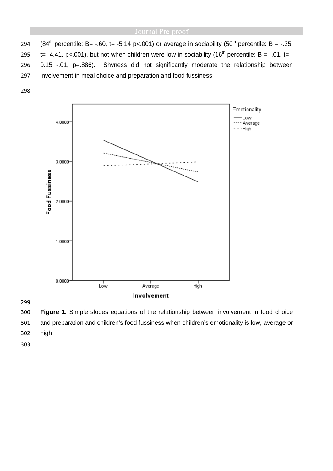294 (84<sup>th</sup> percentile: B= -.60, t= -5.14 p<.001) or average in sociability (50<sup>th</sup> percentile: B = -.35,  $t = -4.41$ , p<.001), but not when children were low in sociability (16<sup>th</sup> percentile: B = -.01, t= -0.15 -.01, p=.886). Shyness did not significantly moderate the relationship between involvement in meal choice and preparation and food fussiness.



**Figure 1.** Simple slopes equations of the relationship between involvement in food choice and preparation and children's food fussiness when children's emotionality is low, average or high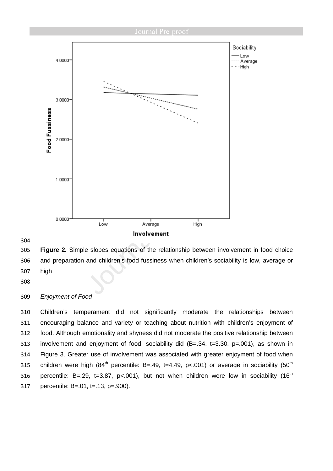

### 

**Figure 2.** Simple slopes equations of the relationship between involvement in food choice and preparation and children's food fussiness when children's sociability is low, average or high

### Enjoyment of Food

Children's temperament did not significantly moderate the relationships between encouraging balance and variety or teaching about nutrition with children's enjoyment of food. Although emotionality and shyness did not moderate the positive relationship between involvement and enjoyment of food, sociability did (B=.34, t=3.30, p=.001), as shown in Figure 3. Greater use of involvement was associated with greater enjoyment of food when 315 children were high  $(84<sup>th</sup>$  percentile: B=.49, t=4.49, p<.001) or average in sociability  $(50<sup>th</sup>$ 316 percentile: B=.29, t=3.87, p<.001), but not when children were low in sociability (16<sup>th</sup> percentile: B=.01, t=.13, p=.900).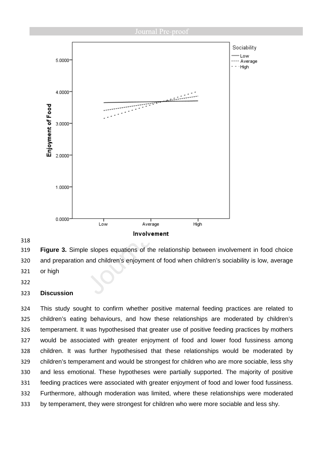

### 

**Figure 3.** Simple slopes equations of the relationship between involvement in food choice and preparation and children's enjoyment of food when children's sociability is low, average or high

### **Discussion**

This study sought to confirm whether positive maternal feeding practices are related to children's eating behaviours, and how these relationships are moderated by children's temperament. It was hypothesised that greater use of positive feeding practices by mothers would be associated with greater enjoyment of food and lower food fussiness among children. It was further hypothesised that these relationships would be moderated by children's temperament and would be strongest for children who are more sociable, less shy and less emotional. These hypotheses were partially supported. The majority of positive feeding practices were associated with greater enjoyment of food and lower food fussiness. Furthermore, although moderation was limited, where these relationships were moderated by temperament, they were strongest for children who were more sociable and less shy.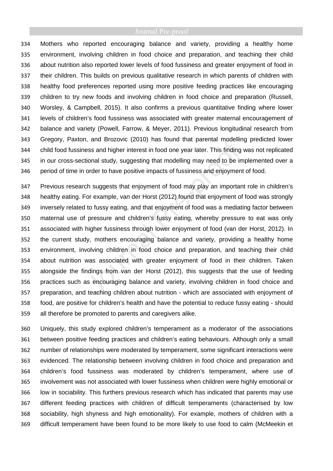Mothers who reported encouraging balance and variety, providing a healthy home environment, involving children in food choice and preparation, and teaching their child about nutrition also reported lower levels of food fussiness and greater enjoyment of food in their children. This builds on previous qualitative research in which parents of children with healthy food preferences reported using more positive feeding practices like encouraging children to try new foods and involving children in food choice and preparation (Russell, Worsley, & Campbell, 2015). It also confirms a previous quantitative finding where lower levels of children's food fussiness was associated with greater maternal encouragement of balance and variety (Powell, Farrow, & Meyer, 2011). Previous longitudinal research from Gregory, Paxton, and Brozovic (2010) has found that parental modelling predicted lower child food fussiness and higher interest in food one year later. This finding was not replicated in our cross-sectional study, suggesting that modelling may need to be implemented over a period of time in order to have positive impacts of fussiness and enjoyment of food.

Previous research suggests that enjoyment of food may play an important role in children's healthy eating. For example, van der Horst (2012) found that enjoyment of food was strongly inversely related to fussy eating, and that enjoyment of food was a mediating factor between maternal use of pressure and children's fussy eating, whereby pressure to eat was only associated with higher fussiness through lower enjoyment of food (van der Horst, 2012). In the current study, mothers encouraging balance and variety, providing a healthy home environment, involving children in food choice and preparation, and teaching their child about nutrition was associated with greater enjoyment of food in their children. Taken alongside the findings from van der Horst (2012), this suggests that the use of feeding practices such as encouraging balance and variety, involving children in food choice and preparation, and teaching children about nutrition - which are associated with enjoyment of food, are positive for children's health and have the potential to reduce fussy eating - should all therefore be promoted to parents and caregivers alike.

Uniquely, this study explored children's temperament as a moderator of the associations between positive feeding practices and children's eating behaviours. Although only a small number of relationships were moderated by temperament, some significant interactions were evidenced. The relationship between involving children in food choice and preparation and children's food fussiness was moderated by children's temperament, where use of involvement was not associated with lower fussiness when children were highly emotional or low in sociability. This furthers previous research which has indicated that parents may use different feeding practices with children of difficult temperaments (characterised by low sociability, high shyness and high emotionality). For example, mothers of children with a difficult temperament have been found to be more likely to use food to calm (McMeekin et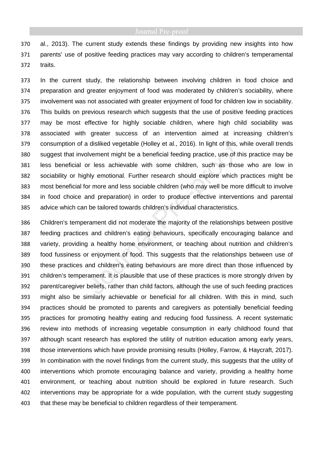al., 2013). The current study extends these findings by providing new insights into how parents' use of positive feeding practices may vary according to children's temperamental traits.

In the current study, the relationship between involving children in food choice and preparation and greater enjoyment of food was moderated by children's sociability, where involvement was not associated with greater enjoyment of food for children low in sociability. This builds on previous research which suggests that the use of positive feeding practices may be most effective for highly sociable children, where high child sociability was associated with greater success of an intervention aimed at increasing children's consumption of a disliked vegetable (Holley et al., 2016). In light of this, while overall trends suggest that involvement might be a beneficial feeding practice, use of this practice may be less beneficial or less achievable with some children, such as those who are low in sociability or highly emotional. Further research should explore which practices might be most beneficial for more and less sociable children (who may well be more difficult to involve in food choice and preparation) in order to produce effective interventions and parental advice which can be tailored towards children's individual characteristics.

Children's temperament did not moderate the majority of the relationships between positive feeding practices and children's eating behaviours, specifically encouraging balance and variety, providing a healthy home environment, or teaching about nutrition and children's food fussiness or enjoyment of food. This suggests that the relationships between use of these practices and children's eating behaviours are more direct than those influenced by children's temperament. It is plausible that use of these practices is more strongly driven by parent/caregiver beliefs, rather than child factors, although the use of such feeding practices might also be similarly achievable or beneficial for all children. With this in mind, such practices should be promoted to parents and caregivers as potentially beneficial feeding practices for promoting healthy eating and reducing food fussiness. A recent systematic review into methods of increasing vegetable consumption in early childhood found that although scant research has explored the utility of nutrition education among early years, those interventions which have provide promising results (Holley, Farrow, & Haycraft, 2017). In combination with the novel findings from the current study, this suggests that the utility of interventions which promote encouraging balance and variety, providing a healthy home environment, or teaching about nutrition should be explored in future research. Such interventions may be appropriate for a wide population, with the current study suggesting that these may be beneficial to children regardless of their temperament.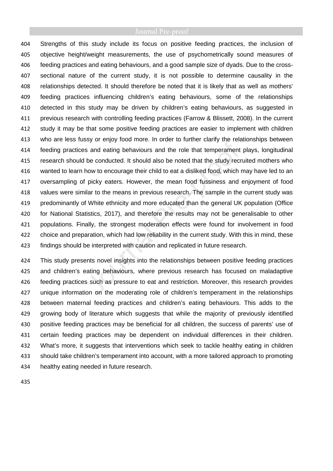Strengths of this study include its focus on positive feeding practices, the inclusion of objective height/weight measurements, the use of psychometrically sound measures of feeding practices and eating behaviours, and a good sample size of dyads. Due to the cross-sectional nature of the current study, it is not possible to determine causality in the relationships detected. It should therefore be noted that it is likely that as well as mothers' feeding practices influencing children's eating behaviours, some of the relationships detected in this study may be driven by children's eating behaviours, as suggested in previous research with controlling feeding practices (Farrow & Blissett, 2008). In the current study it may be that some positive feeding practices are easier to implement with children who are less fussy or enjoy food more. In order to further clarify the relationships between feeding practices and eating behaviours and the role that temperament plays, longitudinal 415 research should be conducted. It should also be noted that the study recruited mothers who wanted to learn how to encourage their child to eat a disliked food, which may have led to an oversampling of picky eaters. However, the mean food fussiness and enjoyment of food values were similar to the means in previous research. The sample in the current study was predominantly of White ethnicity and more educated than the general UK population (Office for National Statistics, 2017), and therefore the results may not be generalisable to other populations. Finally, the strongest moderation effects were found for involvement in food choice and preparation, which had low reliability in the current study. With this in mind, these findings should be interpreted with caution and replicated in future research.

This study presents novel insights into the relationships between positive feeding practices and children's eating behaviours, where previous research has focused on maladaptive feeding practices such as pressure to eat and restriction. Moreover, this research provides unique information on the moderating role of children's temperament in the relationships between maternal feeding practices and children's eating behaviours. This adds to the 429 growing body of literature which suggests that while the majority of previously identified positive feeding practices may be beneficial for all children, the success of parents' use of certain feeding practices may be dependent on individual differences in their children. What's more, it suggests that interventions which seek to tackle healthy eating in children should take children's temperament into account, with a more tailored approach to promoting healthy eating needed in future research.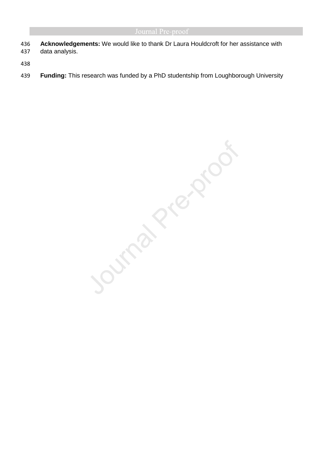**Acknowledgements:** We would like to thank Dr Laura Houldcroft for her assistance with data analysis.

**Funding:** This research was funded by a PhD studentship from Loughborough University

Journal Prezence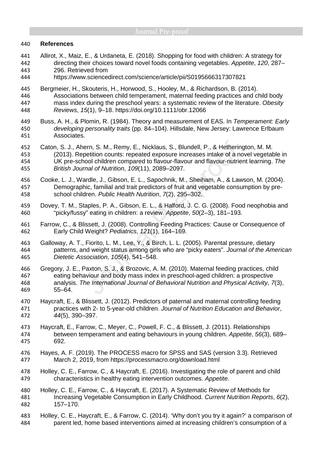### **References**

- Allirot, X., Maiz, E., & Urdaneta, E. (2018). Shopping for food with children: A strategy for directing their choices toward novel foods containing vegetables. Appetite, 120, 287– 296. Retrieved from
- https://www.sciencedirect.com/science/article/pii/S0195666317307821
- Bergmeier, H., Skouteris, H., Horwood, S., Hooley, M., & Richardson, B. (2014). Associations between child temperament, maternal feeding practices and child body 447 mass index during the preschool years: a systematic review of the literature. Obesity Reviews, 15(1), 9–18. https://doi.org/10.1111/obr.12066
- 449 Buss, A. H., & Plomin, R. (1984). Theory and measurement of EAS. In Temperament: Early developing personality traits (pp. 84–104). Hillsdale, New Jersey: Lawrence Erlbaum Associates.
- Caton, S. J., Ahern, S. M., Remy, E., Nicklaus, S., Blundell, P., & Hetherington, M. M. (2013). Repetition counts: repeated exposure increases intake of a novel vegetable in UK pre-school children compared to flavour-flavour and flavour-nutrient learning. The British Journal of Nutrition, 109(11), 2089–2097.
- Cooke, L. J., Wardle, J., Gibson, E. L., Sapochnik, M., Sheiham, A., & Lawson, M. (2004). Demographic, familial and trait predictors of fruit and vegetable consumption by pre-school children. Public Health Nutrition, 7(2), 295–302.
- Dovey, T. M., Staples, P. A., Gibson, E. L., & Halford, J. C. G. (2008). Food neophobia and "picky/fussy" eating in children: a review. Appetite, 50(2–3), 181–193.
- Farrow, C., & Blissett, J. (2008). Controlling Feeding Practices: Cause or Consequence of Early Child Weight? Pediatrics, 121(1), 164–169.
- Galloway, A. T., Fiorito, L. M., Lee, Y., & Birch, L. L. (2005). Parental pressure, dietary 464 patterns, and weight status among girls who are "picky eaters". Journal of the American Dietetic Association, 105(4), 541–548.
- Gregory, J. E., Paxton, S. J., & Brozovic, A. M. (2010). Maternal feeding practices, child eating behaviour and body mass index in preschool-aged children: a prospective analysis. The International Journal of Behavioral Nutrition and Physical Activity, 7(3), 55–64.
- Haycraft, E., & Blissett, J. (2012). Predictors of paternal and maternal controlling feeding 471 practices with 2- to 5-year-old children. Journal of Nutrition Education and Behavior, 44(5), 390–397.
- Haycraft, E., Farrow, C., Meyer, C., Powell, F. C., & Blissett, J. (2011). Relationships between temperament and eating behaviours in young children. Appetite, 56(3), 689– 692.
- Hayes, A. F. (2019). The PROCESS macro for SPSS and SAS (version 3.3). Retrieved March 2, 2019, from https://processmacro.org/download.html
- Holley, C. E., Farrow, C., & Haycraft, E. (2016). Investigating the role of parent and child characteristics in healthy eating intervention outcomes. Appetite.
- Holley, C. E., Farrow, C., & Haycraft, E. (2017). A Systematic Review of Methods for 481 Increasing Vegetable Consumption in Early Childhood. Current Nutrition Reports, 6(2), 157–170.
- Holley, C. E., Haycraft, E., & Farrow, C. (2014). 'Why don't you try it again?' a comparison of parent led, home based interventions aimed at increasing children's consumption of a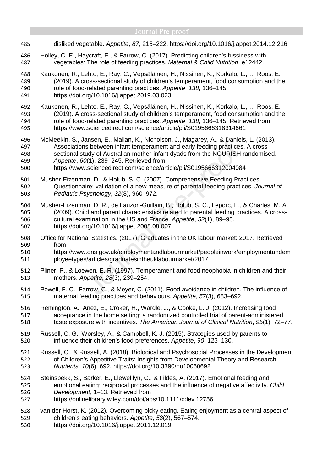- disliked vegetable. Appetite, 87, 215–222. https://doi.org/10.1016/j.appet.2014.12.216
- Holley, C. E., Haycraft, E., & Farrow, C. (2017). Predicting children's fussiness with vegetables: The role of feeding practices. Maternal & Child Nutrition, e12442.
- Kaukonen, R., Lehto, E., Ray, C., Vepsäläinen, H., Nissinen, K., Korkalo, L., … Roos, E. (2019). A cross-sectional study of children's temperament, food consumption and the role of food-related parenting practices. Appetite, 138, 136–145.
- https://doi.org/10.1016/j.appet.2019.03.023
- Kaukonen, R., Lehto, E., Ray, C., Vepsäläinen, H., Nissinen, K., Korkalo, L., … Roos, E. (2019). A cross-sectional study of children's temperament, food consumption and the role of food-related parenting practices. Appetite, 138, 136–145. Retrieved from https://www.sciencedirect.com/science/article/pii/S0195666318314661
- McMeekin, S., Jansen, E., Mallan, K., Nicholson, J., Magarey, A., & Daniels, L. (2013). Associations between infant temperament and early feeding practices. A cross-sectional study of Australian mother-infant dyads from the NOURISH randomised. Appetite, 60(1), 239–245. Retrieved from
- https://www.sciencedirect.com/science/article/pii/S0195666312004084
- Musher-Eizenman, D., & Holub, S. C. (2007). Comprehensive Feeding Practices Questionnaire: validation of a new measure of parental feeding practices. Journal of Pediatric Psychology, 32(8), 960–972.
- Musher-Eizenman, D. R., de Lauzon-Guillain, B., Holub, S. C., Leporc, E., & Charles, M. A. (2009). Child and parent characteristics related to parental feeding practices. A cross-cultural examination in the US and France. Appetite, 52(1), 89–95. https://doi.org/10.1016/j.appet.2008.08.007
- Office for National Statistics. (2017). Graduates in the UK labour market: 2017. Retrieved from
- https://www.ons.gov.uk/employmentandlabourmarket/peopleinwork/employmentandem ployeetypes/articles/graduatesintheuklabourmarket/2017
- Pliner, P., & Loewen, E. R. (1997). Temperament and food neophobia in children and their mothers. Appetite, 28(3), 239–254.
- Powell, F. C., Farrow, C., & Meyer, C. (2011). Food avoidance in children. The influence of maternal feeding practices and behaviours. Appetite, 57(3), 683–692.
- Remington, A., Anez, E., Croker, H., Wardle, J., & Cooke, L. J. (2012). Increasing food acceptance in the home setting: a randomized controlled trial of parent-administered 518 taste exposure with incentives. The American Journal of Clinical Nutrition, 95(1), 72–77.
- Russell, C. G., Worsley, A., & Campbell, K. J. (2015). Strategies used by parents to influence their children's food preferences. Appetite, 90, 123–130.
- Russell, C., & Russell, A. (2018). Biological and Psychosocial Processes in the Development of Children's Appetitive Traits: Insights from Developmental Theory and Research. Nutrients, 10(6), 692. https://doi.org/10.3390/nu10060692
- Steinsbekk, S., Barker, E., Llewelllyn, C., & Fildes, A. (2017). Emotional feeding and emotional eating: reciprocal processes and the influence of negative affectivity. Child Development, 1–13. Retrieved from
- https://onlinelibrary.wiley.com/doi/abs/10.1111/cdev.12756
- van der Horst, K. (2012). Overcoming picky eating. Eating enjoyment as a central aspect of children's eating behaviors. Appetite, 58(2), 567–574.
- https://doi.org/10.1016/j.appet.2011.12.019